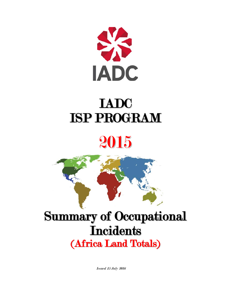

# IADC ISP PROGRAM





# Summary of Occupational **Incidents** (Africa Land Totals)

Issued 15 July 2016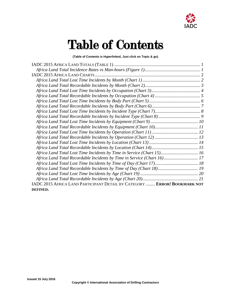

# Table of Contents

**(Table of Contents is Hyperlinked, Just click on Topic & go)**

| Africa Land Total Lost Time Incidents by Time in Service (Chart 15) 16    |  |
|---------------------------------------------------------------------------|--|
| Africa Land Total Recordable Incidents by Time in Service (Chart 16) 17   |  |
|                                                                           |  |
|                                                                           |  |
|                                                                           |  |
|                                                                           |  |
| IADC 2015 AFRICA LAND PARTICIPANT DETAIL BY CATEGORY  ERROR! BOOKMARK NOT |  |
| DEFINED.                                                                  |  |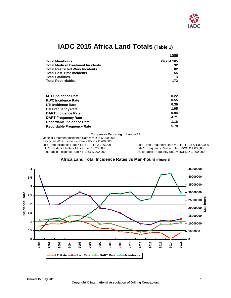

# **IADC 2015 Africa Land Totals (Table 1)**

<span id="page-2-0"></span>

|                                          | Total      |
|------------------------------------------|------------|
| <b>Total Man-hours</b>                   | 29,734,165 |
| <b>Total Medical Treatment Incidents</b> | 32         |
| <b>Total Restricted Work Incidents</b>   | 82         |
| <b>Total Lost Time Incidents</b>         | 55         |
| <b>Total Fatalities</b>                  |            |
| <b>Total Recordables</b>                 | 172        |
| <b>MTO Incidence Rate</b>                | 0.22       |
| <b>RWC Incidence Rate</b>                | 0.55       |
| <b>LTI Incidence Rate</b>                | 0.39       |
| <b>LTI Frequency Rate</b>                | 1.95       |

| 1.95 |
|------|
| 0.94 |
| 4.71 |
| 1.16 |
| 5.78 |
|      |

#### **Companies Reporting: Land – 12**

Medical Treatment Incidence Rate = MTOs X 200,000 Restricted Work Incidence Rate = RWCs X 200,000<br>Lost Time Incidence Rate = LTIs + FTLs X 200,000 Lost Time Incidence Rate = LTIs + FTLs X 200,000<br>DART Incidence Rate = LTIs + RWC X 200,000 DART Frequency Rate = LTIs + RWC X 1,000,000 DART Incidence Rate = LTIs + RWC X 200,000<br>
Recordable Incidence Rate = RCRD X 200,000 DRecordable Frequency Rate = RCRD X 1,000,000

 $Recordable Frequency Rate = RCRD X 1,000,000$ 

<span id="page-2-1"></span>

## **Africa Land Total Incidence Rates vs Man-hours (Figure 1)**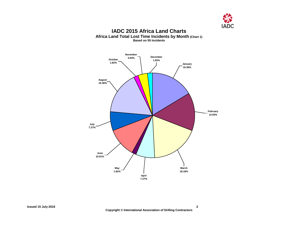

### **IADC 2015 Africa Land Charts Africa Land Total Lost Time Incidents by Month (Chart 1) Based on 55 Incidents**

<span id="page-3-1"></span><span id="page-3-0"></span>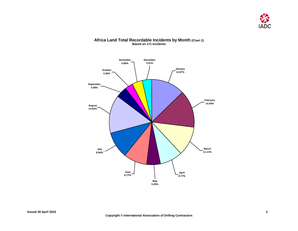

#### **Africa Land Total Recordable Incidents by Month (Chart 2) Based on 171 Incidents**

<span id="page-4-0"></span>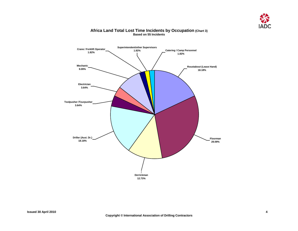

## <span id="page-5-0"></span>**Roustabout (Lease Hand) 18.18% Floorman 29.09% Derrickman 12.73% Driller (Asst. Dr.) 18.18% Toolpusher /Tourpusher 3.64% Electrician 3.64% Superintendent/other Supervisors 1.82% Crane / Forklift Operator 1.82% Mechanic 9.09% Catering / Camp Personnel 1.82%**

#### **Africa Land Total Lost Time Incidents by Occupation (Chart 3) Based on 55 Incidents**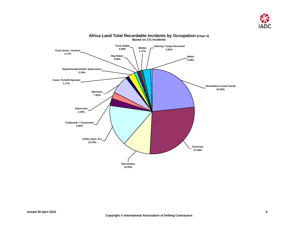

<span id="page-6-0"></span>

#### **Africa Land Total Recordable Incidents by Occupation (Chart 4) Based on 171 Incidents**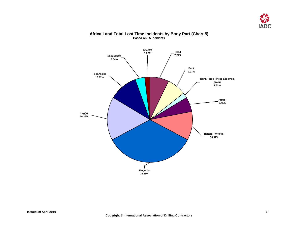

## <span id="page-7-0"></span>**Head 7.27% Back 7.27% Trunk/Torso (chest, abdomen, groin) 1.82% Arm(s) 5.45% Hand(s) / Wrist(s) 10.91% Finger(s) 34.55% Leg(s) 16.36% Feet/Ankles 10.91% Shoulder(s) 3.64% Knee(s) 1.82%**

#### **Africa Land Total Lost Time Incidents by Body Part (Chart 5) Based on 55 Incidents**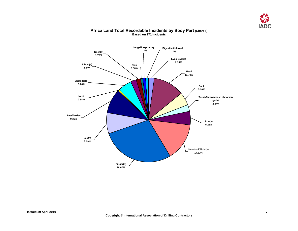

<span id="page-8-0"></span>

### **Africa Land Total Recordable Incidents by Body Part (Chart 6) Based on 171 Incidents**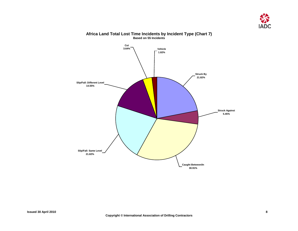

<span id="page-9-0"></span>

### **Africa Land Total Lost Time Incidents by Incident Type (Chart 7) Based on 55 Incidents**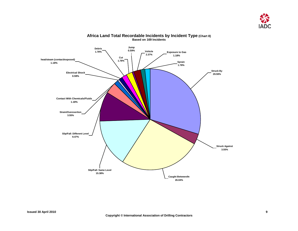

<span id="page-10-0"></span>

#### **Africa Land Total Recordable Incidents by Incident Type (Chart 8) Based on 169 Incidents**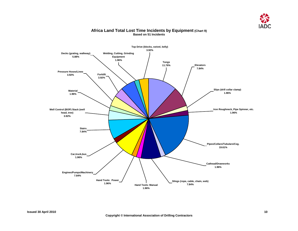

#### **Africa Land Total Lost Time Incidents by Equipment (Chart 9) Based on 51 Incidents**

<span id="page-11-0"></span>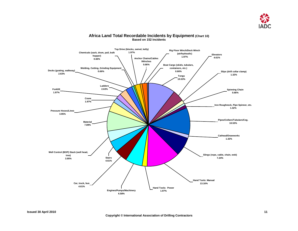

<span id="page-12-0"></span>

#### **Africa Land Total Recordable Incidents by Equipment (Chart 10) Based on 152 Incidents**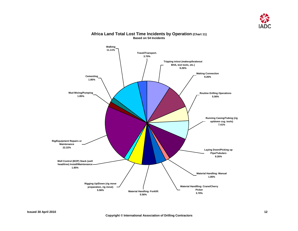

#### <span id="page-13-0"></span>**Travel/Transport. 3.70% Mud Mixing/Pumping 1.85% Cementing 1.85% Walking 11.11% Well Control (BOP) Stack (well head/tree) Install/Maintenance 1.85% Rig/Equipment Repairs or Maintenance 22.22% Rigging Up/Down (rig move preparation, rig move) 5.56% Material Handling: Forklift 5.56% Material Handlling: Crane/Cherry Picker 3.70% Material Handling: Manual 1.85% Laying Down/Picking up Pipe/Tubulars 9.26% Running Casing/Tubing (rig up/down csg. tools) 7.41% Routine Drilling Operations 5.56% Making Connection 9.26% Tripping in/out (makeup/brakeout BHA, test tools, etc.) 9.26%**

#### **Africa Land Total Lost Time Incidents by Operation (Chart 11) Based on 54 Incidents**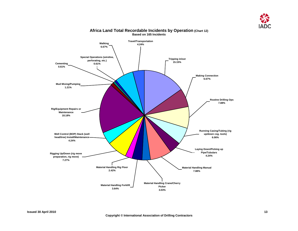

<span id="page-14-0"></span>

### **Africa Land Total Recordable Incidents by Operation (Chart 12) Based on 165 Incidents**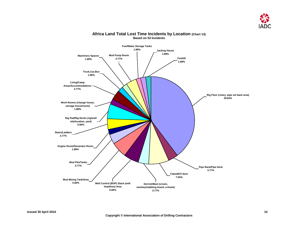

#### <span id="page-15-0"></span>**Forklift 1.89% Rig Floor (rotary, pipe set back area) 39.62% Rig Pad/Rig Decks (rig/well site/location, yard) 5.66% Derrick/Mast (crown, monkey/stabbing board, a-frame) 3.77% Catwalk/V-door 7.55% Pipe Rack/Pipe Deck 3.77% Well Control (BOP) Stack (well head/tree) Area 5.66% Mud Mixing Tank/Area 5.66% Mud Pits/Tanks 3.77% Engine Room/Generator Room 1.89% Stairs/Ladders 3.77% Work Rooms (change house, storage house/room) 1.89% Living/Camp Areas/Accommodations 3.77% Truck,Car,Bus 1.89% Machinery Spaces 1.89% Mud Pump Room 3.77% Fuel/Water Storage Tanks 1.89% Jacking House 1.89%**

#### **Africa Land Total Lost Time Incidents by Location (Chart 13) Based on 53 Incidents**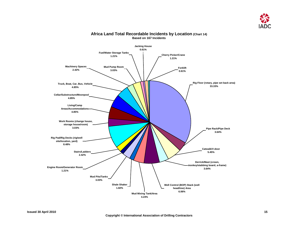

#### <span id="page-16-0"></span>**Forklift 0.61% Catwalk/V-door 5.45% Derrick/Mast (crown, monkey/stabbing board, a-frame) 3.64% Pipe Rack/Pipe Deck 3.64% Mud Mixing Tank/Area 4.24% Shale Shaker 1.82% Stairs/Ladders 2.42% Engine Room/Generator Room 1.21% Mud Pits/Tanks 3.03% Rig Pad/Rig Decks (rig/well site/location, yard) 8.48% Work Rooms (change house, storage house/room) 3.03% Living/Camp Areas/Accommodations 4.85% Cellar/Substructure/Moonpool 4.85% Truck, Boat, Car, Bus, Vehicle 4.85% Machinery Spaces 2.42% Cherry Picker/Crane 1.21% Rig Floor (rotary, pipe set back area) 33.33% Well Control (BOP) Stack (well head/tree) Area 6.06% Mud Pump Room 3.03% Fuel/Water Storage Tanks 1.21% Jacking House 0.61%**

#### **Africa Land Total Recordable Incidents by Location (Chart 14) Based on 167 Incidents**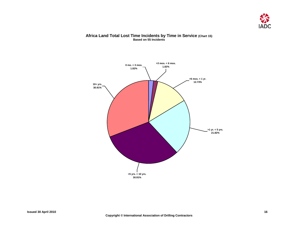

#### **Africa Land Total Lost Time Incidents by Time in Service (Chart 15) Based on 55 Incidents**

<span id="page-17-0"></span>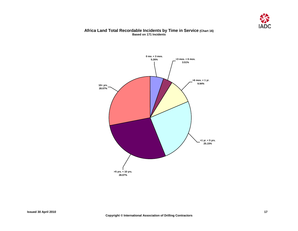

#### **Africa Land Total Recordable Incidents by Time in Service (Chart 16) Based on 171 Incidents**

<span id="page-18-0"></span>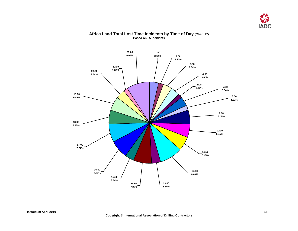

#### <span id="page-19-0"></span>**23:00 1:00 9.09%3.64% 2:00 1.82% 3:00 22:00 3.64% 1.82% 20:00 3.64% 4:00 3.64% 5:00 1.82% 7:00 3.64% 19:00 8:00 5.45% 1.82% 9:00 5.45%** , porto **18:00 5.45% 10:00 5.45% 17:00 7.27% 11:00 5.45% 16:00 12:00 7.27% 9.09% 15:00 3.64% 13:00 14:00 3.64% 7.27%**

#### **Africa Land Total Lost Time Incidents by Time of Day (Chart 17) Based on 55 Incidents**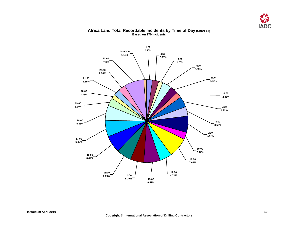

#### <span id="page-20-0"></span>**1:00 2.35%24:00:00 2:00 1.18% 2.35% 23:00 3:00 7.65% 1.76% 4:00 3.53% 22:00 2.94% 5:00 21:00 2.94% 2.35% 20:00 6:00 1.76% 2.35% 19:00 2.94% 7:00 4.12%** z **18:00 8:00 5.88% 3.53% 9:00 6.47% 17:00 6.47% 10:00 2.94% 16:00 6.47% 11:00 7.65% 15:00 12:00 14:00 5.88% 4.71% 5.29% 13:00 6.47%**

#### **Africa Land Total Recordable Incidents by Time of Day (Chart 18) Based on 170 Incidents**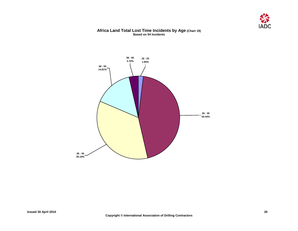

#### **Africa Land Total Lost Time Incidents by Age (Chart 19) Based on 54 Incidents**

<span id="page-21-0"></span>